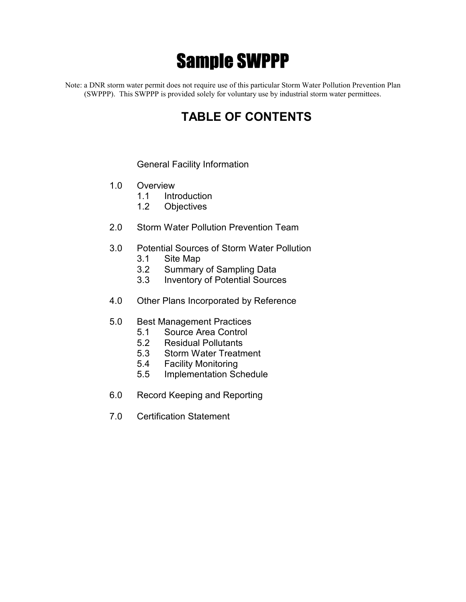# Sample SWPPP

Note: a DNR storm water permit does not require use of this particular Storm Water Pollution Prevention Plan (SWPPP). This SWPPP is provided solely for voluntary use by industrial storm water permittees.

# **TABLE OF CONTENTS**

#### General Facility Information

- 1.0 Overview
	- 1.1 Introduction
	- 1.2 Objectives
- 2.0 Storm Water Pollution Prevention Team
- 3.0 Potential Sources of Storm Water Pollution
	- 3.1 Site Map
	- 3.2 Summary of Sampling Data
	- 3.3 Inventory of Potential Sources
- 4.0 Other Plans Incorporated by Reference
- 5.0 Best Management Practices
	- 5.1 Source Area Control
	- 5.2 Residual Pollutants
	- 5.3 Storm Water Treatment
	- 5.4 Facility Monitoring
	- 5.5 Implementation Schedule
- 6.0 Record Keeping and Reporting
- 7.0 Certification Statement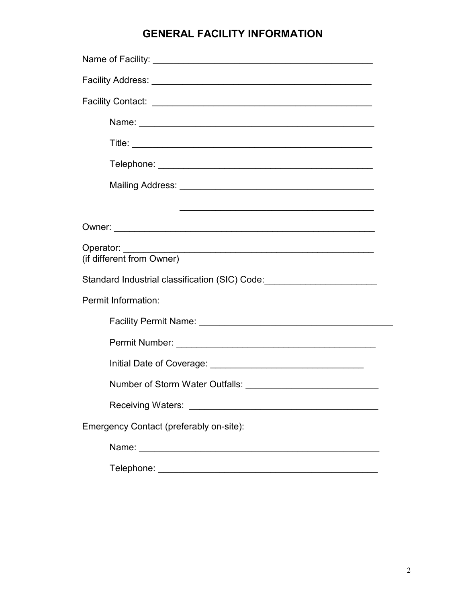# **GENERAL FACILITY INFORMATION**

| Operator:<br><u> 1989 - Johann Barn, amerikan berkema dalam penyanyi dan berkema dalam pengaran berkema dalam pengaran dalam </u><br>(if different from Owner) |  |  |  |  |  |
|----------------------------------------------------------------------------------------------------------------------------------------------------------------|--|--|--|--|--|
| Standard Industrial classification (SIC) Code: _________________________________                                                                               |  |  |  |  |  |
| Permit Information:                                                                                                                                            |  |  |  |  |  |
|                                                                                                                                                                |  |  |  |  |  |
|                                                                                                                                                                |  |  |  |  |  |
|                                                                                                                                                                |  |  |  |  |  |
|                                                                                                                                                                |  |  |  |  |  |
|                                                                                                                                                                |  |  |  |  |  |
| Emergency Contact (preferably on-site):                                                                                                                        |  |  |  |  |  |
|                                                                                                                                                                |  |  |  |  |  |
|                                                                                                                                                                |  |  |  |  |  |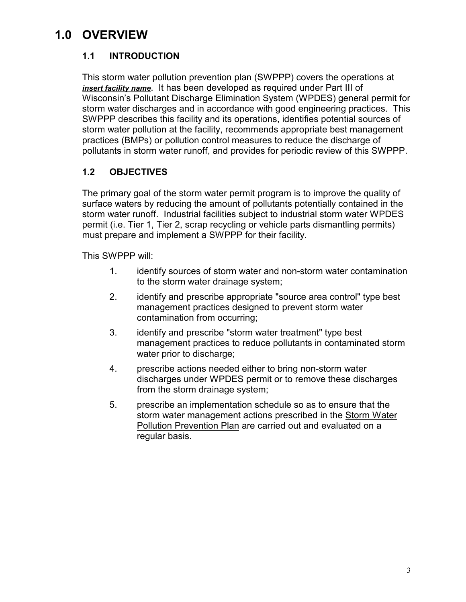# **1.0 OVERVIEW**

# **1.1 INTRODUCTION**

This storm water pollution prevention plan (SWPPP) covers the operations at *insert facility name*. It has been developed as required under Part III of Wisconsin's Pollutant Discharge Elimination System (WPDES) general permit for storm water discharges and in accordance with good engineering practices. This SWPPP describes this facility and its operations, identifies potential sources of storm water pollution at the facility, recommends appropriate best management practices (BMPs) or pollution control measures to reduce the discharge of pollutants in storm water runoff, and provides for periodic review of this SWPPP.

# **1.2 OBJECTIVES**

The primary goal of the storm water permit program is to improve the quality of surface waters by reducing the amount of pollutants potentially contained in the storm water runoff. Industrial facilities subject to industrial storm water WPDES permit (i.e. Tier 1, Tier 2, scrap recycling or vehicle parts dismantling permits) must prepare and implement a SWPPP for their facility.

This SWPPP will:

- 1. identify sources of storm water and non-storm water contamination to the storm water drainage system;
- 2. identify and prescribe appropriate "source area control" type best management practices designed to prevent storm water contamination from occurring;
- 3. identify and prescribe "storm water treatment" type best management practices to reduce pollutants in contaminated storm water prior to discharge;
- 4. prescribe actions needed either to bring non-storm water discharges under WPDES permit or to remove these discharges from the storm drainage system;
- 5. prescribe an implementation schedule so as to ensure that the storm water management actions prescribed in the Storm Water Pollution Prevention Plan are carried out and evaluated on a regular basis.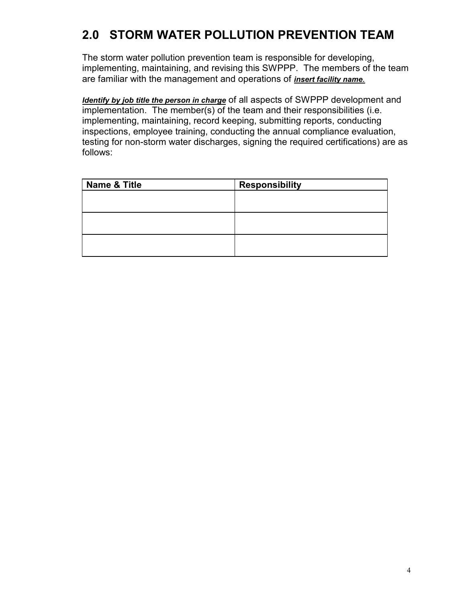# **2.0 STORM WATER POLLUTION PREVENTION TEAM**

The storm water pollution prevention team is responsible for developing, implementing, maintaining, and revising this SWPPP. The members of the team are familiar with the management and operations of *insert facility name.*

*Identify by job title the person in charge* of all aspects of SWPPP development and implementation. The member(s) of the team and their responsibilities (i.e. implementing, maintaining, record keeping, submitting reports, conducting inspections, employee training, conducting the annual compliance evaluation, testing for non-storm water discharges, signing the required certifications) are as follows:

| <b>Name &amp; Title</b> | <b>Responsibility</b> |
|-------------------------|-----------------------|
|                         |                       |
|                         |                       |
|                         |                       |
|                         |                       |
|                         |                       |
|                         |                       |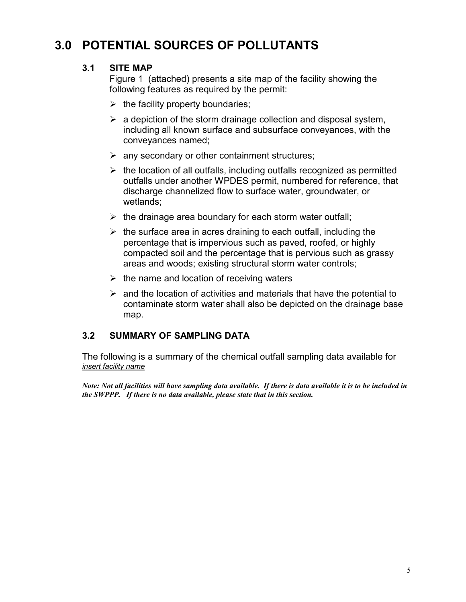# **3.0 POTENTIAL SOURCES OF POLLUTANTS**

### **3.1 SITE MAP**

Figure 1 (attached) presents a site map of the facility showing the following features as required by the permit:

- $\triangleright$  the facility property boundaries;
- $\triangleright$  a depiction of the storm drainage collection and disposal system, including all known surface and subsurface conveyances, with the conveyances named;
- $\triangleright$  any secondary or other containment structures;
- $\triangleright$  the location of all outfalls, including outfalls recognized as permitted outfalls under another WPDES permit, numbered for reference, that discharge channelized flow to surface water, groundwater, or wetlands;
- $\triangleright$  the drainage area boundary for each storm water outfall;
- $\triangleright$  the surface area in acres draining to each outfall, including the percentage that is impervious such as paved, roofed, or highly compacted soil and the percentage that is pervious such as grassy areas and woods; existing structural storm water controls;
- $\triangleright$  the name and location of receiving waters
- $\triangleright$  and the location of activities and materials that have the potential to contaminate storm water shall also be depicted on the drainage base map.

### **3.2 SUMMARY OF SAMPLING DATA**

The following is a summary of the chemical outfall sampling data available for *insert facility name*

*Note: Not all facilities will have sampling data available. If there is data available it is to be included in the SWPPP. If there is no data available, please state that in this section.*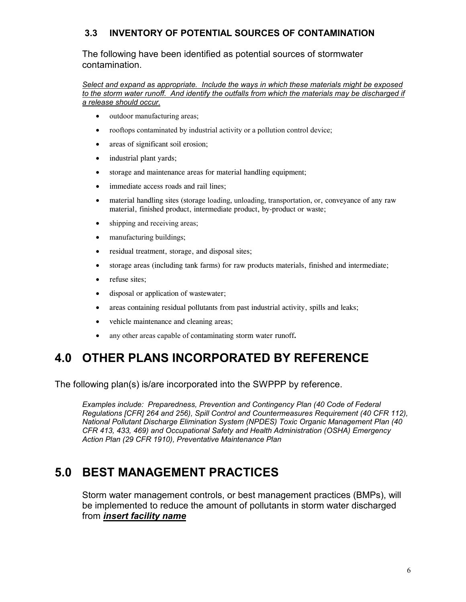# **3.3 INVENTORY OF POTENTIAL SOURCES OF CONTAMINATION**

The following have been identified as potential sources of stormwater contamination.

*Select and expand as appropriate. Include the ways in which these materials might be exposed to the storm water runoff. And identify the outfalls from which the materials may be discharged if a release should occur.*

- outdoor manufacturing areas;
- rooftops contaminated by industrial activity or a pollution control device;
- areas of significant soil erosion;
- industrial plant yards;
- storage and maintenance areas for material handling equipment;
- immediate access roads and rail lines;
- material handling sites (storage loading, unloading, transportation, or, conveyance of any raw material, finished product, intermediate product, by-product or waste;
- shipping and receiving areas;
- manufacturing buildings;
- residual treatment, storage, and disposal sites;
- storage areas (including tank farms) for raw products materials, finished and intermediate;
- refuse sites:
- disposal or application of wastewater;
- areas containing residual pollutants from past industrial activity, spills and leaks;
- vehicle maintenance and cleaning areas;
- any other areas capable of contaminating storm water runoff**.**

# **4.0 OTHER PLANS INCORPORATED BY REFERENCE**

The following plan(s) is/are incorporated into the SWPPP by reference.

*Examples include: Preparedness, Prevention and Contingency Plan (40 Code of Federal Regulations [CFR] 264 and 256), Spill Control and Countermeasures Requirement (40 CFR 112), National Pollutant Discharge Elimination System (NPDES) Toxic Organic Management Plan (40 CFR 413, 433, 469) and Occupational Safety and Health Administration (OSHA) Emergency Action Plan (29 CFR 1910), Preventative Maintenance Plan*

# **5.0 BEST MANAGEMENT PRACTICES**

Storm water management controls, or best management practices (BMPs), will be implemented to reduce the amount of pollutants in storm water discharged from *insert facility name*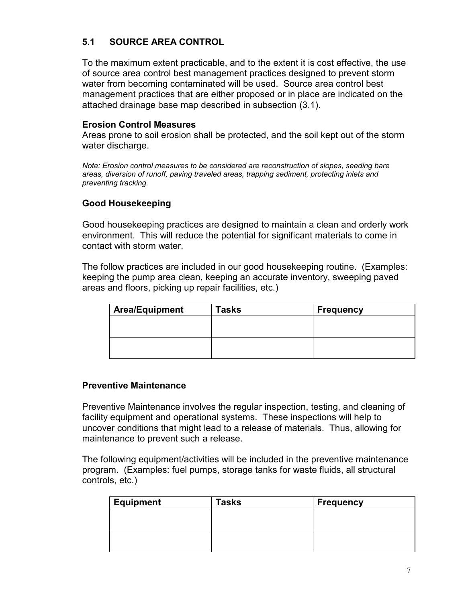# **5.1 SOURCE AREA CONTROL**

To the maximum extent practicable, and to the extent it is cost effective, the use of source area control best management practices designed to prevent storm water from becoming contaminated will be used. Source area control best management practices that are either proposed or in place are indicated on the attached drainage base map described in subsection (3.1).

#### **Erosion Control Measures**

Areas prone to soil erosion shall be protected, and the soil kept out of the storm water discharge.

*Note: Erosion control measures to be considered are reconstruction of slopes, seeding bare areas, diversion of runoff, paving traveled areas, trapping sediment, protecting inlets and preventing tracking.*

#### **Good Housekeeping**

Good housekeeping practices are designed to maintain a clean and orderly work environment. This will reduce the potential for significant materials to come in contact with storm water.

The follow practices are included in our good housekeeping routine. (Examples: keeping the pump area clean, keeping an accurate inventory, sweeping paved areas and floors, picking up repair facilities, etc.)

| <b>Area/Equipment</b> | <b>Tasks</b> | <b>Frequency</b> |
|-----------------------|--------------|------------------|
|                       |              |                  |
|                       |              |                  |
|                       |              |                  |
|                       |              |                  |

#### **Preventive Maintenance**

Preventive Maintenance involves the regular inspection, testing, and cleaning of facility equipment and operational systems. These inspections will help to uncover conditions that might lead to a release of materials. Thus, allowing for maintenance to prevent such a release.

The following equipment/activities will be included in the preventive maintenance program. (Examples: fuel pumps, storage tanks for waste fluids, all structural controls, etc.)

| <b>Equipment</b> | Tasks | <b>Frequency</b> |
|------------------|-------|------------------|
|                  |       |                  |
|                  |       |                  |
|                  |       |                  |
|                  |       |                  |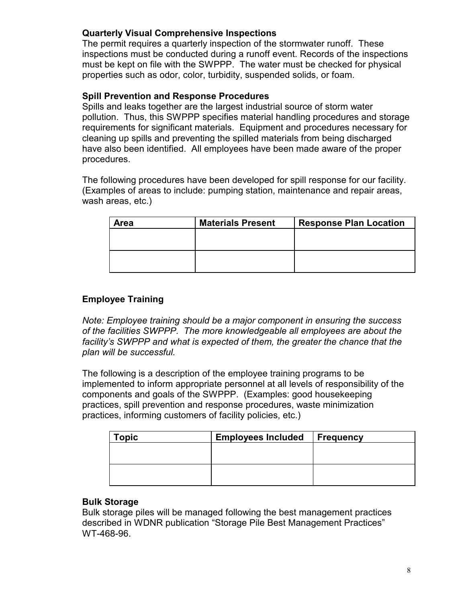### **Quarterly Visual Comprehensive Inspections**

The permit requires a quarterly inspection of the stormwater runoff. These inspections must be conducted during a runoff event. Records of the inspections must be kept on file with the SWPPP. The water must be checked for physical properties such as odor, color, turbidity, suspended solids, or foam.

#### **Spill Prevention and Response Procedures**

Spills and leaks together are the largest industrial source of storm water pollution. Thus, this SWPPP specifies material handling procedures and storage requirements for significant materials. Equipment and procedures necessary for cleaning up spills and preventing the spilled materials from being discharged have also been identified. All employees have been made aware of the proper procedures.

The following procedures have been developed for spill response for our facility. (Examples of areas to include: pumping station, maintenance and repair areas, wash areas, etc.)

| <b>Area</b> | <b>Materials Present</b><br><b>Response Plan Location</b> |  |
|-------------|-----------------------------------------------------------|--|
|             |                                                           |  |
|             |                                                           |  |
|             |                                                           |  |
|             |                                                           |  |

### **Employee Training**

*Note: Employee training should be a major component in ensuring the success of the facilities SWPPP. The more knowledgeable all employees are about the facility's SWPPP and what is expected of them, the greater the chance that the plan will be successful.*

The following is a description of the employee training programs to be implemented to inform appropriate personnel at all levels of responsibility of the components and goals of the SWPPP. (Examples: good housekeeping practices, spill prevention and response procedures, waste minimization practices, informing customers of facility policies, etc.)

| Topic | <b>Employees Included</b> | Frequency |
|-------|---------------------------|-----------|
|       |                           |           |
|       |                           |           |
|       |                           |           |
|       |                           |           |

#### **Bulk Storage**

Bulk storage piles will be managed following the best management practices described in WDNR publication "Storage Pile Best Management Practices" WT-468-96.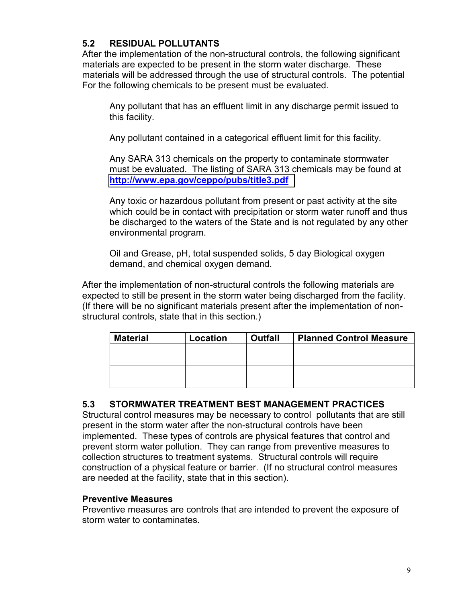# **5.2 RESIDUAL POLLUTANTS**

After the implementation of the non-structural controls, the following significant materials are expected to be present in the storm water discharge. These materials will be addressed through the use of structural controls. The potential For the following chemicals to be present must be evaluated.

Any pollutant that has an effluent limit in any discharge permit issued to this facility.

Any pollutant contained in a categorical effluent limit for this facility.

Any SARA 313 chemicals on the property to contaminate stormwater must be evaluated. The listing of SARA 313 chemicals may be found at **<http://www.epa.gov/ceppo/pubs/title3.pdf>**

Any toxic or hazardous pollutant from present or past activity at the site which could be in contact with precipitation or storm water runoff and thus be discharged to the waters of the State and is not regulated by any other environmental program.

Oil and Grease, pH, total suspended solids, 5 day Biological oxygen demand, and chemical oxygen demand.

After the implementation of non-structural controls the following materials are expected to still be present in the storm water being discharged from the facility. (If there will be no significant materials present after the implementation of nonstructural controls, state that in this section.)

| <b>Material</b> | Location | <b>Outfall</b> | <b>Planned Control Measure</b> |
|-----------------|----------|----------------|--------------------------------|
|                 |          |                |                                |
|                 |          |                |                                |
|                 |          |                |                                |
|                 |          |                |                                |

### **5.3 STORMWATER TREATMENT BEST MANAGEMENT PRACTICES**

Structural control measures may be necessary to control pollutants that are still present in the storm water after the non-structural controls have been implemented. These types of controls are physical features that control and prevent storm water pollution. They can range from preventive measures to collection structures to treatment systems. Structural controls will require construction of a physical feature or barrier. (If no structural control measures are needed at the facility, state that in this section).

#### **Preventive Measures**

Preventive measures are controls that are intended to prevent the exposure of storm water to contaminates.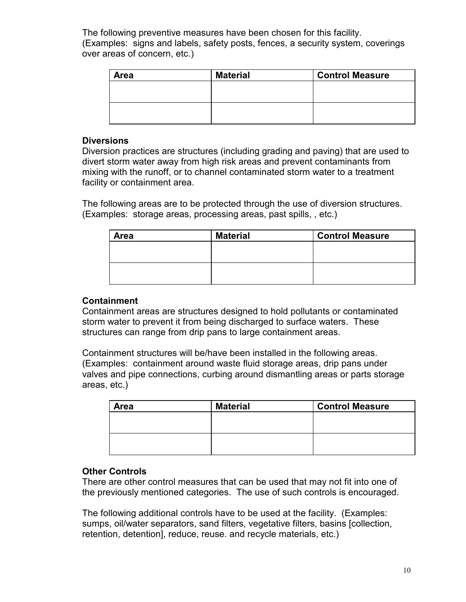The following preventive measures have been chosen for this facility. (Examples: signs and labels, safety posts, fences, a security system, coverings over areas of concern, etc.)

| <b>Area</b> | <b>Material</b> | <b>Control Measure</b> |
|-------------|-----------------|------------------------|
|             |                 |                        |
|             |                 |                        |
|             |                 |                        |
|             |                 |                        |

#### **Diversions**

Diversion practices are structures (including grading and paving) that are used to divert storm water away from high risk areas and prevent contaminants from mixing with the runoff, or to channel contaminated storm water to a treatment facility or containment area.

The following areas are to be protected through the use of diversion structures. (Examples: storage areas, processing areas, past spills, , etc.)

| <b>Area</b> | <b>Material</b> | <b>Control Measure</b> |
|-------------|-----------------|------------------------|
|             |                 |                        |
|             |                 |                        |
|             |                 |                        |
|             |                 |                        |

#### **Containment**

Containment areas are structures designed to hold pollutants or contaminated storm water to prevent it from being discharged to surface waters. These structures can range from drip pans to large containment areas.

Containment structures will be/have been installed in the following areas. (Examples: containment around waste fluid storage areas, drip pans under valves and pipe connections, curbing around dismantling areas or parts storage areas, etc.)

| <b>Area</b> | <b>Material</b> | <b>Control Measure</b> |  |
|-------------|-----------------|------------------------|--|
|             |                 |                        |  |
|             |                 |                        |  |
|             |                 |                        |  |
|             |                 |                        |  |

#### **Other Controls**

There are other control measures that can be used that may not fit into one of the previously mentioned categories. The use of such controls is encouraged.

The following additional controls have to be used at the facility. (Examples: sumps, oil/water separators, sand filters, vegetative filters, basins [collection, retention, detention], reduce, reuse. and recycle materials, etc.)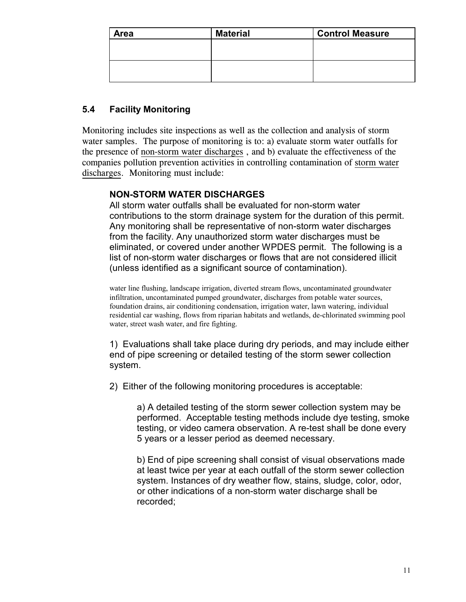| <b>Area</b> | <b>Material</b><br><b>Control Measure</b> |  |  |
|-------------|-------------------------------------------|--|--|
|             |                                           |  |  |
|             |                                           |  |  |
|             |                                           |  |  |
|             |                                           |  |  |

# **5.4 Facility Monitoring**

Monitoring includes site inspections as well as the collection and analysis of storm water samples. The purpose of monitoring is to: a) evaluate storm water outfalls for the presence of non-storm water discharges , and b) evaluate the effectiveness of the companies pollution prevention activities in controlling contamination of storm water discharges. Monitoring must include:

### **NON-STORM WATER DISCHARGES**

All storm water outfalls shall be evaluated for non-storm water contributions to the storm drainage system for the duration of this permit. Any monitoring shall be representative of non-storm water discharges from the facility. Any unauthorized storm water discharges must be eliminated, or covered under another WPDES permit. The following is a list of non-storm water discharges or flows that are not considered illicit (unless identified as a significant source of contamination).

water line flushing, landscape irrigation, diverted stream flows, uncontaminated groundwater infiltration, uncontaminated pumped groundwater, discharges from potable water sources, foundation drains, air conditioning condensation, irrigation water, lawn watering, individual residential car washing, flows from riparian habitats and wetlands, de-chlorinated swimming pool water, street wash water, and fire fighting.

1) Evaluations shall take place during dry periods, and may include either end of pipe screening or detailed testing of the storm sewer collection system.

2) Either of the following monitoring procedures is acceptable:

a) A detailed testing of the storm sewer collection system may be performed. Acceptable testing methods include dye testing, smoke testing, or video camera observation. A re-test shall be done every 5 years or a lesser period as deemed necessary.

b) End of pipe screening shall consist of visual observations made at least twice per year at each outfall of the storm sewer collection system. Instances of dry weather flow, stains, sludge, color, odor, or other indications of a non-storm water discharge shall be recorded;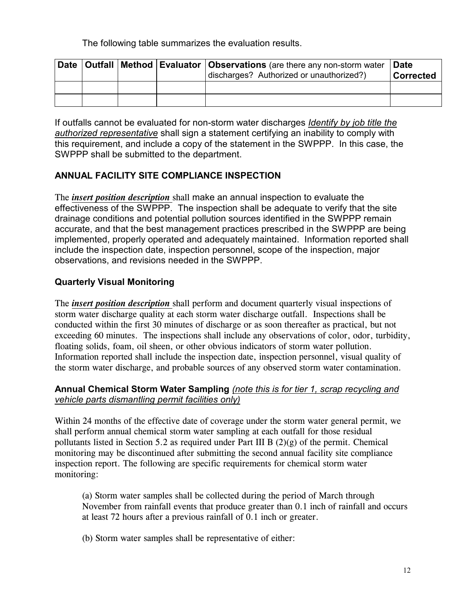The following table summarizes the evaluation results.

|  |  | Date   Outfall   Method   Evaluator   Observations (are there any non-storm water<br>discharges? Authorized or unauthorized?) | ∣Date<br><b>Corrected</b> |
|--|--|-------------------------------------------------------------------------------------------------------------------------------|---------------------------|
|  |  |                                                                                                                               |                           |
|  |  |                                                                                                                               |                           |

If outfalls cannot be evaluated for non-storm water discharges *Identify by job title the authorized representative* shall sign a statement certifying an inability to comply with this requirement, and include a copy of the statement in the SWPPP. In this case, the SWPPP shall be submitted to the department.

# **ANNUAL FACILITY SITE COMPLIANCE INSPECTION**

The *insert position description* shall make an annual inspection to evaluate the effectiveness of the SWPPP. The inspection shall be adequate to verify that the site drainage conditions and potential pollution sources identified in the SWPPP remain accurate, and that the best management practices prescribed in the SWPPP are being implemented, properly operated and adequately maintained. Information reported shall include the inspection date, inspection personnel, scope of the inspection, major observations, and revisions needed in the SWPPP.

# **Quarterly Visual Monitoring**

The *insert position description* shall perform and document quarterly visual inspections of storm water discharge quality at each storm water discharge outfall. Inspections shall be conducted within the first 30 minutes of discharge or as soon thereafter as practical, but not exceeding 60 minutes. The inspections shall include any observations of color, odor, turbidity, floating solids, foam, oil sheen, or other obvious indicators of storm water pollution. Information reported shall include the inspection date, inspection personnel, visual quality of the storm water discharge, and probable sources of any observed storm water contamination.

#### **Annual Chemical Storm Water Sampling** *(note this is for tier 1, scrap recycling and vehicle parts dismantling permit facilities only)*

Within 24 months of the effective date of coverage under the storm water general permit, we shall perform annual chemical storm water sampling at each outfall for those residual pollutants listed in Section 5.2 as required under Part III B  $(2)(g)$  of the permit. Chemical monitoring may be discontinued after submitting the second annual facility site compliance inspection report. The following are specific requirements for chemical storm water monitoring:

(a) Storm water samples shall be collected during the period of March through November from rainfall events that produce greater than 0.1 inch of rainfall and occurs at least 72 hours after a previous rainfall of 0.1 inch or greater.

(b) Storm water samples shall be representative of either: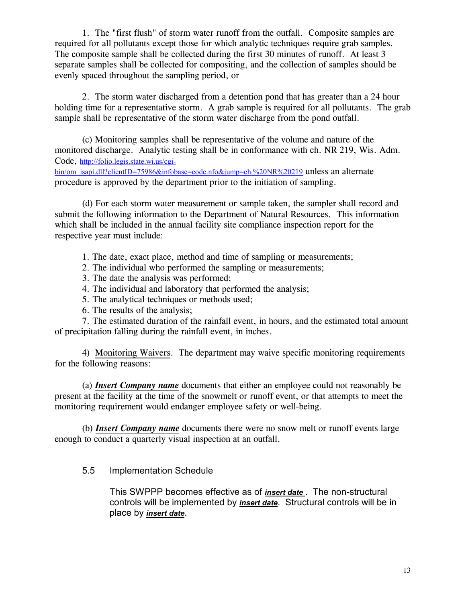1. The "first flush" of storm water runoff from the outfall. Composite samples are required for all pollutants except those for which analytic techniques require grab samples. The composite sample shall be collected during the first 30 minutes of runoff. At least 3 separate samples shall be collected for compositing, and the collection of samples should be evenly spaced throughout the sampling period, or

2. The storm water discharged from a detention pond that has greater than a 24 hour holding time for a representative storm. A grab sample is required for all pollutants. The grab sample shall be representative of the storm water discharge from the pond outfall.

(c) Monitoring samples shall be representative of the volume and nature of the monitored discharge. Analytic testing shall be in conformance with ch. NR 219, Wis. Adm. Code, http://folio.legis.state.wi.us/cgi-

bin/om[\\_isapi.dll?clientID=75986&infobase=code.nfo&jump=ch.%20NR%20219](http://folio.legis.state.wi.us/cgi-bin/om_isapi.dll?clientID=75986&infobase=code.nfo&jump=ch.%20NR%20219) unless an alternate procedure is approved by the department prior to the initiation of sampling.

(d) For each storm water measurement or sample taken, the sampler shall record and submit the following information to the Department of Natural Resources. This information which shall be included in the annual facility site compliance inspection report for the respective year must include:

- 1. The date, exact place, method and time of sampling or measurements;
- 2. The individual who performed the sampling or measurements;
- 3. The date the analysis was performed;
- 4. The individual and laboratory that performed the analysis;
- 5. The analytical techniques or methods used;
- 6. The results of the analysis;

7. The estimated duration of the rainfall event, in hours, and the estimated total amount of precipitation falling during the rainfall event, in inches.

4) Monitoring Waivers. The department may waive specific monitoring requirements for the following reasons:

(a) *Insert Company name* documents that either an employee could not reasonably be present at the facility at the time of the snowmelt or runoff event, or that attempts to meet the monitoring requirement would endanger employee safety or well-being.

(b) *Insert Company name* documents there were no snow melt or runoff events large enough to conduct a quarterly visual inspection at an outfall.

5.5 Implementation Schedule

This SWPPP becomes effective as of *insert date* . The non-structural controls will be implemented by *insert date*. Structural controls will be in place by *insert date*.